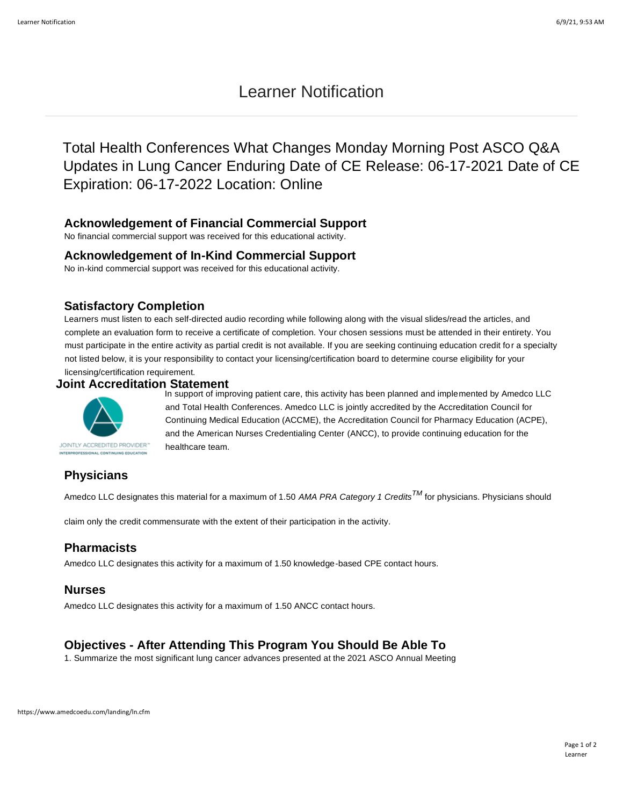# Learner Notification

Total Health Conferences What Changes Monday Morning Post ASCO Q&A Updates in Lung Cancer Enduring Date of CE Release: 06-17-2021 Date of CE Expiration: 06-17-2022 Location: Online

#### **Acknowledgement of Financial Commercial Support**

No financial commercial support was received for this educational activity.

#### **Acknowledgement of In-Kind Commercial Support**

No in-kind commercial support was received for this educational activity.

#### **Satisfactory Completion**

Learners must listen to each self-directed audio recording while following along with the visual slides/read the articles, and complete an evaluation form to receive a certificate of completion. Your chosen sessions must be attended in their entirety. You must participate in the entire activity as partial credit is not available. If you are seeking continuing education credit for a specialty not listed below, it is your responsibility to contact your licensing/certification board to determine course eligibility for your

licensing/certification requirement.

#### **Joint Accreditation Statement**



In support of improving patient care, this activity has been planned and implemented by Amedco LLC and Total Health Conferences. Amedco LLC is jointly accredited by the Accreditation Council for Continuing Medical Education (ACCME), the Accreditation Council for Pharmacy Education (ACPE), and the American Nurses Credentialing Center (ANCC), to provide continuing education for the healthcare team.

### **Physicians**

Amedco LLC designates this material for a maximum of 1.50 *AMA PRA Category 1 CreditsTM* for physicians. Physicians should

claim only the credit commensurate with the extent of their participation in the activity.

### **Pharmacists**

Amedco LLC designates this activity for a maximum of 1.50 knowledge-based CPE contact hours.

#### **Nurses**

Amedco LLC designates this activity for a maximum of 1.50 ANCC contact hours.

# **Objectives - After Attending This Program You Should Be Able To**

1. Summarize the most significant lung cancer advances presented at the 2021 ASCO Annual Meeting